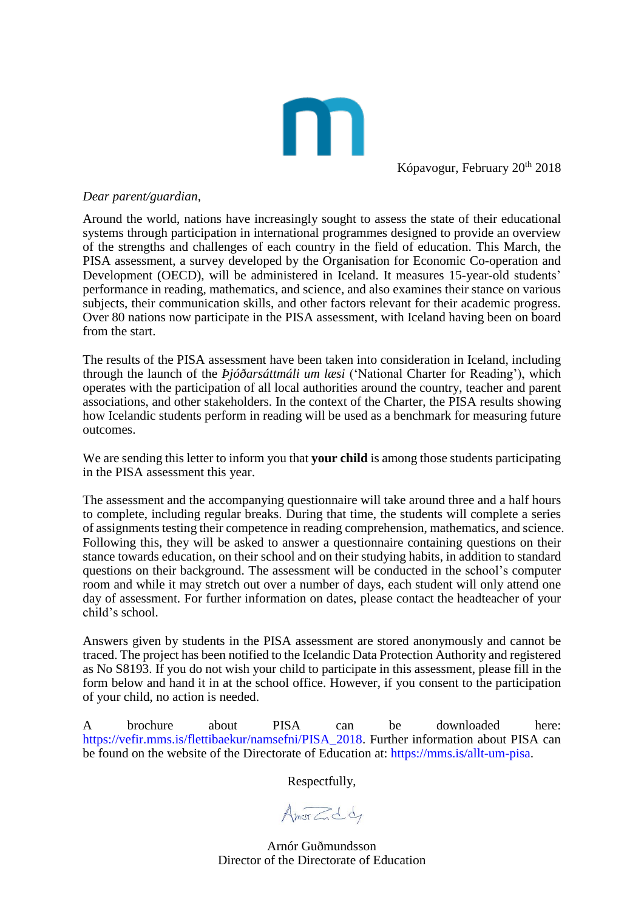

Kópavogur, February 20<sup>th</sup> 2018

## *Dear parent/guardian,*

Around the world, nations have increasingly sought to assess the state of their educational systems through participation in international programmes designed to provide an overview of the strengths and challenges of each country in the field of education. This March, the PISA assessment, a survey developed by the Organisation for Economic Co-operation and Development (OECD), will be administered in Iceland. It measures 15-year-old students' performance in reading, mathematics, and science, and also examines their stance on various subjects, their communication skills, and other factors relevant for their academic progress. Over 80 nations now participate in the PISA assessment, with Iceland having been on board from the start.

The results of the PISA assessment have been taken into consideration in Iceland, including through the launch of the *Þjóðarsáttmáli um læsi* ('National Charter for Reading'), which operates with the participation of all local authorities around the country, teacher and parent associations, and other stakeholders. In the context of the Charter, the PISA results showing how Icelandic students perform in reading will be used as a benchmark for measuring future outcomes.

We are sending this letter to inform you that **your child** is among those students participating in the PISA assessment this year.

The assessment and the accompanying questionnaire will take around three and a half hours to complete, including regular breaks. During that time, the students will complete a series of assignments testing their competence in reading comprehension, mathematics, and science. Following this, they will be asked to answer a questionnaire containing questions on their stance towards education, on their school and on their studying habits, in addition to standard questions on their background. The assessment will be conducted in the school's computer room and while it may stretch out over a number of days, each student will only attend one day of assessment. For further information on dates, please contact the headteacher of your child's school.

Answers given by students in the PISA assessment are stored anonymously and cannot be traced. The project has been notified to the Icelandic Data Protection Authority and registered as No S8193. If you do not wish your child to participate in this assessment, please fill in the form below and hand it in at the school office. However, if you consent to the participation of your child, no action is needed.

A brochure about PISA can be downloaded here: [https://vefir.mms.is/flettibaekur/namsefni/PISA\\_2018.](https://vefir.mms.is/flettibaekur/namsefni/PISA_2018) Further information about PISA can be found on the website of the Directorate of Education at: [https://mms.is/allt-um-pisa.](https://mms.is/allt-um-pisa)

Respectfully,

Amorcida

Arnór Guðmundsson Director of the Directorate of Education